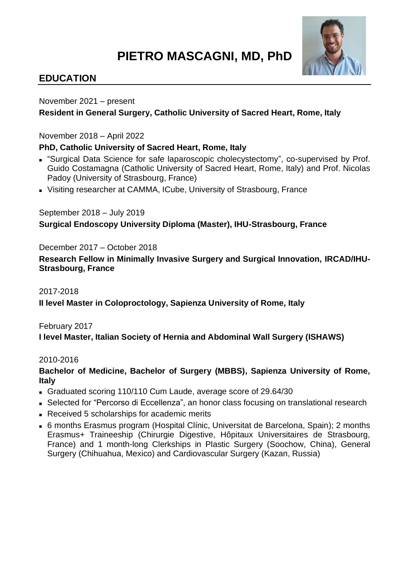# **PIETRO MASCAGNI, MD, PhD**



# **EDUCATION**

November 2021 – present

# **Resident in General Surgery, Catholic University of Sacred Heart, Rome, Italy**

November 2018 – April 2022

# **PhD, Catholic University of Sacred Heart, Rome, Italy**

- "Surgical Data Science for safe laparoscopic cholecystectomy", co-supervised by Prof. Guido Costamagna (Catholic University of Sacred Heart, Rome, Italy) and Prof. Nicolas Padoy (University of Strasbourg, France)
- Visiting researcher at CAMMA, ICube, University of Strasbourg, France

# September 2018 – July 2019

# **Surgical Endoscopy University Diploma (Master), IHU-Strasbourg, France**

December 2017 – October 2018

**Research Fellow in Minimally Invasive Surgery and Surgical Innovation, IRCAD/IHU-Strasbourg, France**

#### 2017-2018

**II level Master in Coloproctology, Sapienza University of Rome, Italy**

#### February 2017

**I level Master, Italian Society of Hernia and Abdominal Wall Surgery (ISHAWS)**

#### 2010-2016

# **Bachelor of Medicine, Bachelor of Surgery (MBBS), Sapienza University of Rome, Italy**

- Graduated scoring 110/110 Cum Laude, average score of 29,64/30
- Selected for "Percorso di Eccellenza", an honor class focusing on translational research
- Received 5 scholarships for academic merits
- 6 months Erasmus program (Hospital Clínic, Universitat de Barcelona, Spain): 2 months Erasmus+ Traineeship (Chirurgie Digestive, Hôpitaux Universitaires de Strasbourg, France) and 1 month-long Clerkships in Plastic Surgery (Soochow, China), General Surgery (Chihuahua, Mexico) and Cardiovascular Surgery (Kazan, Russia)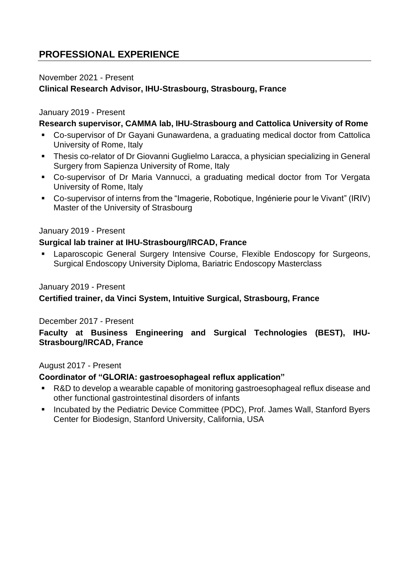# **PROFESSIONAL EXPERIENCE**

#### November 2021 - Present

# **Clinical Research Advisor, IHU-Strasbourg, Strasbourg, France**

#### January 2019 - Present

#### **Research supervisor, CAMMA lab, IHU-Strasbourg and Cattolica University of Rome**

- Co-supervisor of Dr Gayani Gunawardena, a graduating medical doctor from Cattolica University of Rome, Italy
- Thesis co-relator of Dr Giovanni Guglielmo Laracca, a physician specializing in General Surgery from Sapienza University of Rome, Italy
- Co-supervisor of Dr Maria Vannucci, a graduating medical doctor from Tor Vergata University of Rome, Italy
- Co-supervisor of interns from the "Imagerie, Robotique, Ingénierie pour le Vivant" (IRIV) Master of the University of Strasbourg

#### January 2019 - Present

#### **Surgical lab trainer at IHU-Strasbourg/IRCAD, France**

Laparoscopic General Surgery Intensive Course, Flexible Endoscopy for Surgeons, Surgical Endoscopy University Diploma, Bariatric Endoscopy Masterclass

#### January 2019 - Present

#### **Certified trainer, da Vinci System, Intuitive Surgical, Strasbourg, France**

#### December 2017 - Present

**Faculty at Business Engineering and Surgical Technologies (BEST), IHU-Strasbourg/IRCAD, France**

#### August 2017 - Present

#### **Coordinator of "GLORIA: gastroesophageal reflux application"**

- R&D to develop a wearable capable of monitoring gastroesophageal reflux disease and other functional gastrointestinal disorders of infants
- Incubated by the Pediatric Device Committee (PDC), Prof. James Wall, Stanford Byers Center for Biodesign, Stanford University, California, USA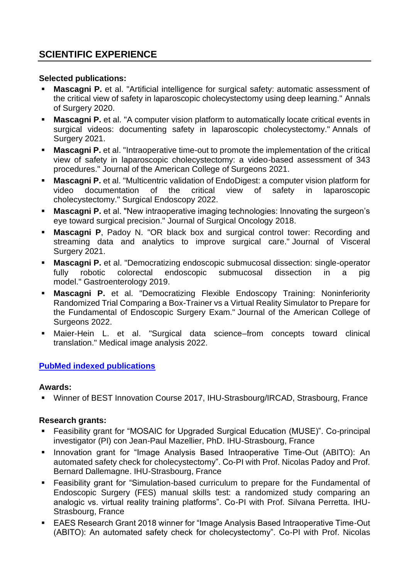# **SCIENTIFIC EXPERIENCE**

#### **Selected publications:**

- **Mascagni P.** et al. "Artificial intelligence for surgical safety: automatic assessment of the critical view of safety in laparoscopic cholecystectomy using deep learning." Annals of Surgery 2020.
- **Mascagni P.** et al. "A computer vision platform to automatically locate critical events in surgical videos: documenting safety in laparoscopic cholecystectomy." Annals of Surgery 2021.
- **Mascagni P.** et al. "Intraoperative time-out to promote the implementation of the critical view of safety in laparoscopic cholecystectomy: a video-based assessment of 343 procedures." Journal of the American College of Surgeons 2021.
- **Mascagni P.** et al. "Multicentric validation of EndoDigest: a computer vision platform for video documentation of the critical view of safety in laparoscopic cholecystectomy." Surgical Endoscopy 2022.
- **Mascagni P.** et al. "New intraoperative imaging technologies: Innovating the surgeon's eye toward surgical precision." Journal of Surgical Oncology 2018.
- **Mascagni P**, Padoy N. "OR black box and surgical control tower: Recording and streaming data and analytics to improve surgical care." Journal of Visceral Surgery 2021.
- **Mascagni P.** et al. "Democratizing endoscopic submucosal dissection: single-operator fully robotic colorectal endoscopic submucosal dissection in a pig model." Gastroenterology 2019.
- **Mascagni P.** et al. "Democratizing Flexible Endoscopy Training: Noninferiority Randomized Trial Comparing a Box-Trainer vs a Virtual Reality Simulator to Prepare for the Fundamental of Endoscopic Surgery Exam." Journal of the American College of Surgeons 2022.
- Maier-Hein L. et al. "Surgical data science–from concepts toward clinical translation." Medical image analysis 2022.

# **[PubMed indexed](https://pubmed.ncbi.nlm.nih.gov/?term=Pietro+Mascagni%5BAuthor%5D&sort=relevance) publications**

#### **Awards:**

■ Winner of BEST Innovation Course 2017, IHU-Strasbourg/IRCAD, Strasbourg, France

# **Research grants:**

- Feasibility grant for "MOSAIC for Upgraded Surgical Education (MUSE)". Co-principal investigator (PI) con Jean-Paul Mazellier, PhD. IHU-Strasbourg, France
- Innovation grant for "Image Analysis Based Intraoperative Time-Out (ABITO): An automated safety check for cholecystectomy". Co-PI with Prof. Nicolas Padoy and Prof. Bernard Dallemagne. IHU-Strasbourg, France
- Feasibility grant for "Simulation-based curriculum to prepare for the Fundamental of Endoscopic Surgery (FES) manual skills test: a randomized study comparing an analogic vs. virtual reality training platforms". Co-PI with Prof. Silvana Perretta. IHU-Strasbourg, France
- **EAES Research Grant 2018 winner for "Image Analysis Based Intraoperative Time-Out** (ABITO): An automated safety check for cholecystectomy". Co-PI with Prof. Nicolas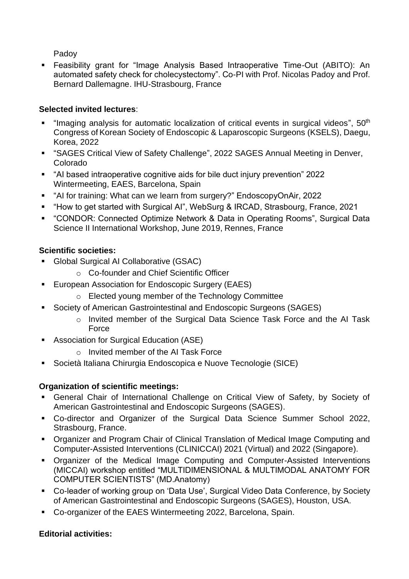Padoy

▪ Feasibility grant for "Image Analysis Based Intraoperative Time-Out (ABITO): An automated safety check for cholecystectomy". Co-PI with Prof. Nicolas Padoy and Prof. Bernard Dallemagne. IHU-Strasbourg, France

# **Selected invited lectures**:

- "Imaging analysis for automatic localization of critical events in surgical videos", 50<sup>th</sup> Congress of Korean Society of Endoscopic & Laparoscopic Surgeons (KSELS), Daegu, Korea, 2022
- "SAGES Critical View of Safety Challenge", 2022 SAGES Annual Meeting in Denver, Colorado
- "AI based intraoperative cognitive aids for bile duct injury prevention" 2022 Wintermeeting, EAES, Barcelona, Spain
- "AI for training: What can we learn from surgery?" EndoscopyOnAir, 2022
- "How to get started with Surgical AI", WebSurg & IRCAD, Strasbourg, France, 2021
- "CONDOR: Connected Optimize Network & Data in Operating Rooms", Surgical Data Science II International Workshop, June 2019, Rennes, France

# **Scientific societies:**

- Global Surgical AI Collaborative (GSAC)
	- o Co-founder and Chief Scientific Officer
- European Association for Endoscopic Surgery (EAES)
	- o Elected young member of the Technology Committee
- Society of American Gastrointestinal and Endoscopic Surgeons (SAGES)
	- o Invited member of the Surgical Data Science Task Force and the AI Task **Force**
- Association for Surgical Education (ASE)
	- o Invited member of the AI Task Force
- Società Italiana Chirurgia Endoscopica e Nuove Tecnologie (SICE)

# **Organization of scientific meetings:**

- General Chair of International Challenge on Critical View of Safety, by Society of American Gastrointestinal and Endoscopic Surgeons (SAGES).
- Co-director and Organizer of the Surgical Data Science Summer School 2022, Strasbourg, France.
- Organizer and Program Chair of Clinical Translation of Medical Image Computing and Computer-Assisted Interventions (CLINICCAI) 2021 (Virtual) and 2022 (Singapore).
- Organizer of the Medical Image Computing and Computer-Assisted Interventions (MICCAI) workshop entitled "MULTIDIMENSIONAL & MULTIMODAL ANATOMY FOR COMPUTER SCIENTISTS" (MD.Anatomy)
- Co-leader of working group on 'Data Use', Surgical Video Data Conference, by Society of American Gastrointestinal and Endoscopic Surgeons (SAGES), Houston, USA.
- Co-organizer of the EAES Wintermeeting 2022, Barcelona, Spain.

# **Editorial activities:**